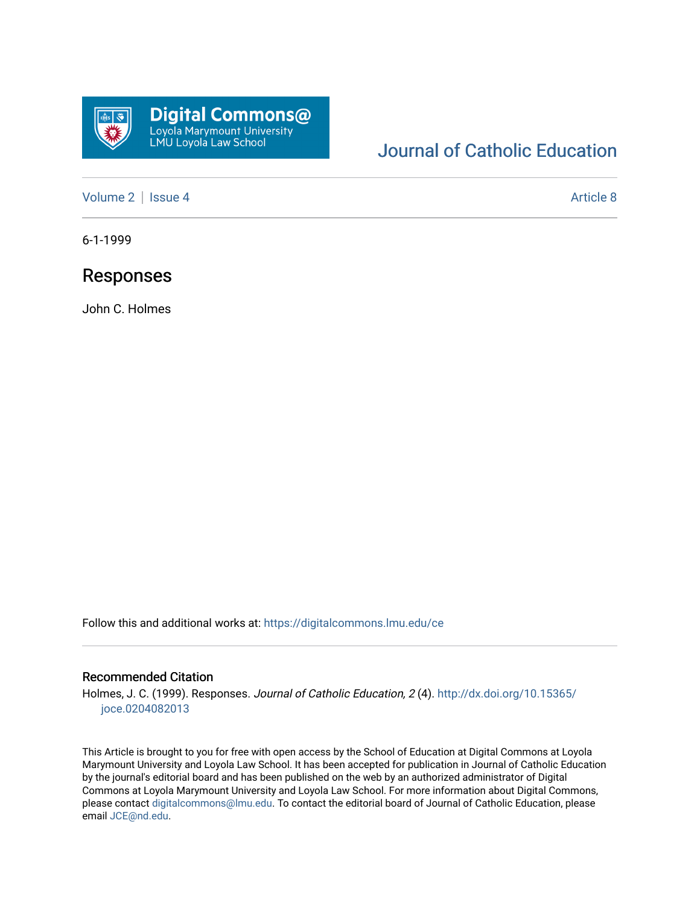

## [Journal of Catholic Education](https://digitalcommons.lmu.edu/ce)

[Volume 2](https://digitalcommons.lmu.edu/ce/vol2) | [Issue 4](https://digitalcommons.lmu.edu/ce/vol2/iss4) Article 8

6-1-1999

### Responses

John C. Holmes

Follow this and additional works at: [https://digitalcommons.lmu.edu/ce](https://digitalcommons.lmu.edu/ce?utm_source=digitalcommons.lmu.edu%2Fce%2Fvol2%2Fiss4%2F8&utm_medium=PDF&utm_campaign=PDFCoverPages)

#### Recommended Citation

Holmes, J. C. (1999). Responses. Journal of Catholic Education, 2 (4). [http://dx.doi.org/10.15365/](http://dx.doi.org/10.15365/joce.0204082013) [joce.0204082013](http://dx.doi.org/10.15365/joce.0204082013) 

This Article is brought to you for free with open access by the School of Education at Digital Commons at Loyola Marymount University and Loyola Law School. It has been accepted for publication in Journal of Catholic Education by the journal's editorial board and has been published on the web by an authorized administrator of Digital Commons at Loyola Marymount University and Loyola Law School. For more information about Digital Commons, please contact [digitalcommons@lmu.edu](mailto:digitalcommons@lmu.edu). To contact the editorial board of Journal of Catholic Education, please email [JCE@nd.edu](mailto:JCE@nd.edu).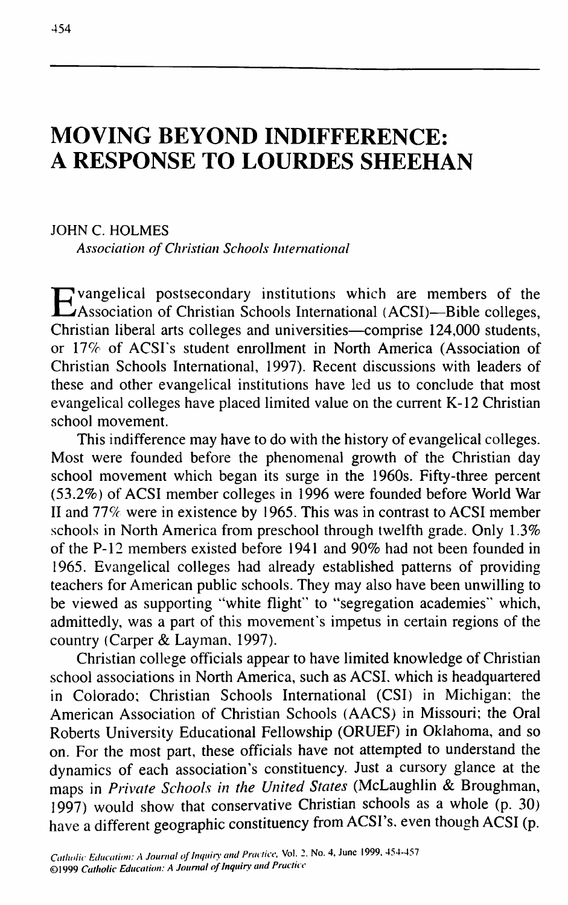# **MOVING BEYOND INDIFFERENCE: A RESPONSE TO LOURDES SHEEHAN**

JOHN C. HOLMES *Association of Christian Schools International*

Evangelical postsecondary institutions which are members of the<br>EAssociation of Christian Schools International (ACSI)—Bible colleges, Association of Christian Schools International (ACSI)—Bible colleges, Christian liberal arts colleges and universities—comprise 124,000 students, or 17% of ACSI's student enrollment in North America (Association of Christian Schools International, 1997). Recent discussions with leaders of these and other evangelical institutions have led us to conclude that most evangelical colleges have placed limited value on the current K-12 Christian school movement.

This indifference may have to do with the history of evangelical colleges. Most were founded before the phenomenal growth of the Christian day school movement which began its surge in the 1960s. Fifty-three percent (53.2%) of ACSI member colleges in 1996 were founded before World War II and *11%* were in existence by 1965. This was in contrast to ACSI member .schools in North America from preschool through twelfth grade. Only 1.3% of the P-12 members existed before 1941 and 90% had not been founded in 1965. Evangelical colleges had already established patterns of providing teachers for American public schools. They may also have been unwilling to be viewed as supporting "white flight" to "segregation academies" which, admittedly, was a part of this movement's impetus in certain regions of the country (Carper & Layman, 1997).

Christian college officials appear to have limited knowledge of Christian school associations in North America, such as ACSI, which is headquartered in Colorado; Christian Schools International (CSI) in Michigan; the American Association of Christian Schools (AACS) in Missouri; the Oral Roberts University Educational Fellowship (ORUEF) in Oklahoma, and so on. For the most part, these officials have not attempted to understand the dynamics of each association's constituency. Just a cursory glance at the **maps in** *Private Schools in the United States* **(McLaughlin & Broughman,** 1997) would show that conservative Christian schools as a whole (p. 30) have a different geographic constituency from ACSI's, even though ACSI (p.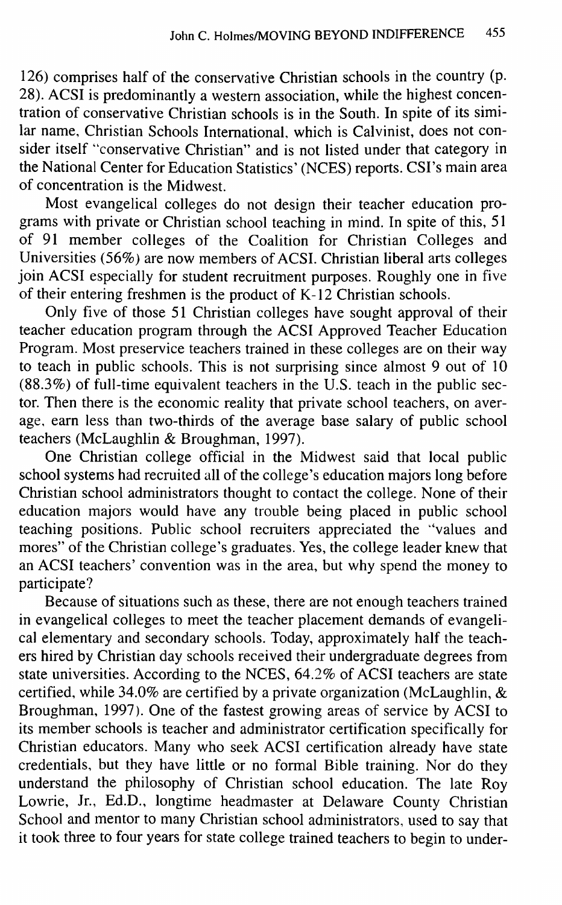126) comprises half of the conservative Christian schools in the country (p. 28). ACSI is predominantly a western association, while the highest concentration of conservative Christian schools is in the South. In spite of its similar name, Christian Schools International, which is Calvinist, does not consider itself "conservative Christian" and is not listed under that category in the National Center for Education Statistics' (NCES) reports. CSI's main area of concentration is the Midwest.

Most evangelical colleges do not design their teacher education programs with private or Christian school teaching in mind. In spite of this, 51 of 91 member colleges of the Coalition for Christian Colleges and Universities (56%) are now members of ACSI. Christian liberal arts colleges join ACSI especially for student recruitment purposes. Roughly one in five of their entering freshmen is the product of K-12 Christian schools.

Only five of those 51 Christian colleges have sought approval of their teacher education program through the ACSI Approved Teacher Education Program. Most preservice teachers trained in these colleges are on their way to teach in public schools. This is not surprising since almost 9 out of 10  $(88.3%)$  of full-time equivalent teachers in the U.S. teach in the public sector. Then there is the economic reality that private school teachers, on average, earn less than two-thirds of the average base salary of public school teachers (McLaughlin & Broughman, 1997).

One Christian college official in the Midwest said that local public school systems had recruited all of the college's education majors long before Christian school administrators thought to contact the college. None of their education majors would have any trouble being placed in public school teaching positions. Public school recruiters appreciated the "values and mores" of the Christian college's graduates. Yes, the college leader knew that an ACSI teachers' convention was in the area, but why spend the money to participate?

Because of situations such as these, there are not enough teachers trained in evangelical colleges to meet the teacher placement demands of evangelical elementary and secondary schools. Today, approximately half the teachers hired by Christian day schools received their undergraduate degrees from state universities. According to the NCES,  $64.2\%$  of ACSI teachers are state certified, while 34.0% are certified by a private organization (McLaughlin,  $\&$ Broughman, 1997). One of the fastest growing areas of service by ACSI to its member schools is teacher and administrator certification specifically for Christian educators. Many who seek ACSI certification already have state credentials, but they have little or no formal Bible training. Nor do they understand the philosophy of Christian school education. The late Roy Lowrie, Jr., Ed.D., longtime headmaster at Delaware County Christian School and mentor to many Christian school administrators, used to say that it took three to four years for state college trained teachers to begin to under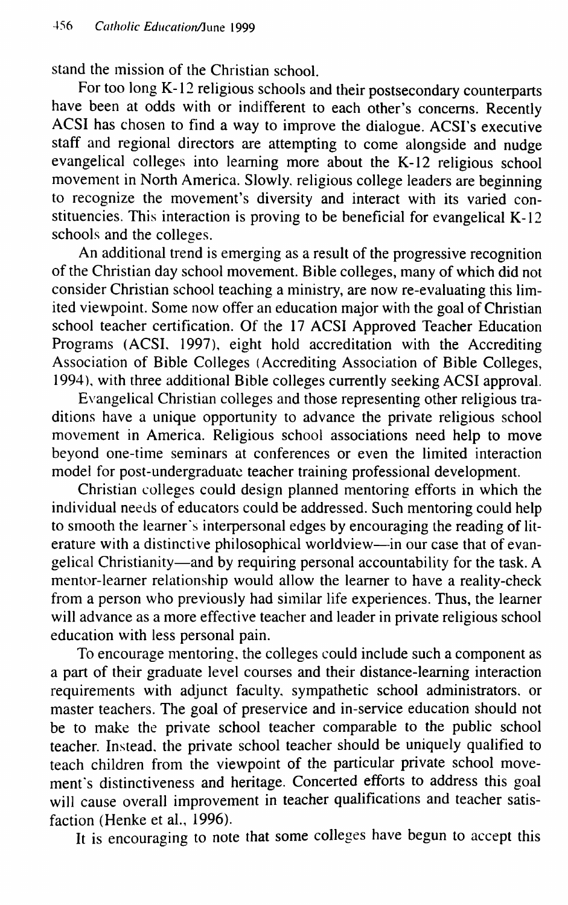stand the mission of the Christian school.

For too long K-12 religious schools and their postsecondary counterparts have been at odds with or indifferent to each other's concerns. Recently ACSI has chosen to find a way to improve the dialogue. ACSI's executive staff and regional directors are attempting to come alongside and nudge evangelical colleges into learning more about the K-12 religious school movement in North America. Slowly, religious college leaders are beginning to recognize the movement's diversity and interact with its varied constituencies. This interaction is proving to be beneficial for evangelical K-12 schools and the colleges.

An additional trend is emerging as a result of the progressive recognition of the Christian day school movement. Bible colleges, many of which did not consider Christian school teaching a ministry, are now re-evaluating this limited viewpoint. Some now offer an education major with the goal of Christian school teacher certification. Of the 17 ACSI Approved Teacher Education Programs (ACSI, 1997), eight hold accreditation with the Accrediting Association of Bible Colleges (Accrediting Association of Bible Colleges, 1994), with three additional Bible colleges currently seeking ACSI approval.

Evangelical Christian colleges and those representing other religious traditions have a unique opportunity to advance the private religious school movement in America. Religious school associations need help to move beyond one-time seminars at conferences or even the limited interaction model for post-undergraduate teacher training professional development.

Christian colleges could design planned mentoring efforts in which the individual needs of educators could be addressed. Such mentoring could help to smooth the learner's interpersonal edges by encouraging the reading of literature with a distinctive philosophical worldview—in our case that of evangelical Christianity—and by requiring personal accountability for the task. A mentor-learner relationship would allow the learner to have a reality-check from a person who previously had similar life experiences. Thus, the learner will advance as a more effective teacher and leader in private religious school education with less personal pain.

To encourage mentoring, the colleges could include such a component as a part of their graduate level courses and their distance-learning interaction requirements with adjunct faculty, sympathetic school administrators, or master teachers. The goal of preservice and in-service education should not be to make the private school teacher comparable to the public school teacher. Instead, the private school teacher should be uniquely qualified to teach children from the viewpoint of the particular private school movement's distinctiveness and heritage. Concerted efforts to address this goal will cause overall improvement in teacher qualifications and teacher satisfaction (Henke et al., 1996).

It is encouraging to note that some colleges have begun to accept this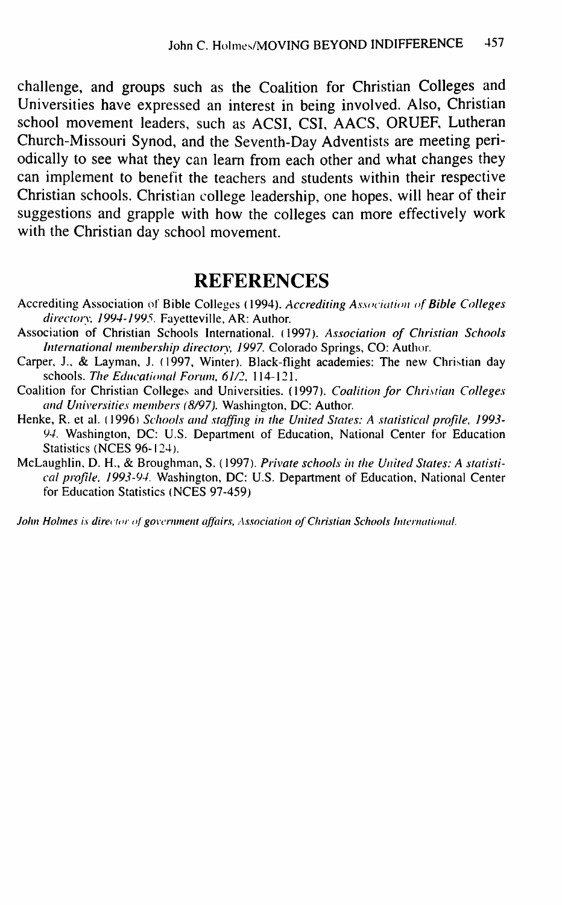challenge, and groups such as the Coalition for Christian Colleges and Universities have expressed an interest in being involved. Also, Christian school movement leaders, such as ACSI, CSI, AACS, ORUEF, Lutheran Church-Missouri Synod, and the Seventh-Day Adventists are meeting periodically to see what they can learn from each other and what changes they can implement to benefit the teachers and students within their respective Christian schools. Christian college leadership, one hopes, will hear of their suggestions and grapple with how the colleges can more effectively work with the Christian day school movement.

## **REFERENCES**

- Accrediting Association of Bible Colleges (1994). *Accrediting Association of Bible Colleges ditectoty, 1994-1995.* Fayetteville, AR: Author.
- Association of Christian Schools International. (1997). *Association of Christian Schools International membership directory, 1997.* Colorado Springs, CO: Author.
- Carper, J., & Layman, J. (1997, Winter). Black-flight academies: The new Christian day schools. The Educational Forum, 61/2, 114-121.
- Coalition for Christian Colleges and Universities. (1997). *Coalition for Christian Colleges* and Universities members (8/97). Washington, DC: Author.
- Henke, R. et al. (1996) Schools and staffing in the United States: A statistical profile, 1993-*94.* Washington, DC: U.S. Department of Education, National Center for Education Statistics (NCES 96-124).
- McLaughlin, D. H., & Broughman, S. (1997). *Private schools in the United States: A statistical ptoftle, 1993-94.* Washington, DC: U.S. Department of Education, National Center for Education Statistics (NCES 97-459)

*John Holmes is director of government affairs, Association of Christian Schools International.*